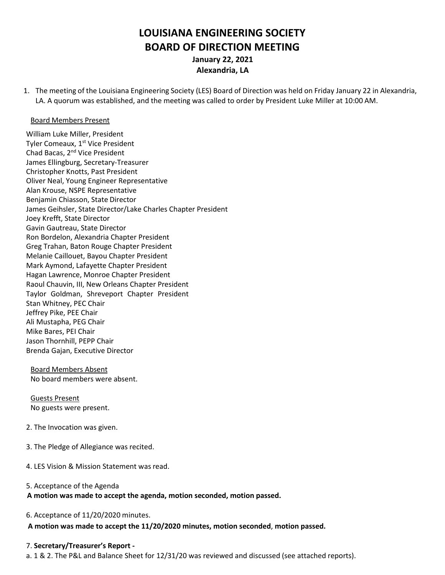# **LOUISIANA ENGINEERING SOCIETY BOARD OF DIRECTION MEETING January 22, 2021 Alexandria, LA**

1. The meeting of the Louisiana Engineering Society (LES) Board of Direction was held on Friday January 22 in Alexandria, LA. A quorum was established, and the meeting was called to order by President Luke Miller at 10:00 AM.

#### Board Members Present

William Luke Miller, President Tyler Comeaux, 1<sup>st</sup> Vice President Chad Bacas, 2nd Vice President James Ellingburg, Secretary-Treasurer Christopher Knotts, Past President Oliver Neal, Young Engineer Representative Alan Krouse, NSPE Representative Benjamin Chiasson, State Director James Geihsler, State Director/Lake Charles Chapter President Joey Krefft, State Director Gavin Gautreau, State Director Ron Bordelon, Alexandria Chapter President Greg Trahan, Baton Rouge Chapter President Melanie Caillouet, Bayou Chapter President Mark Aymond, Lafayette Chapter President Hagan Lawrence, Monroe Chapter President Raoul Chauvin, III, New Orleans Chapter President Taylor Goldman, Shreveport Chapter President Stan Whitney, PEC Chair Jeffrey Pike, PEE Chair Ali Mustapha, PEG Chair Mike Bares, PEI Chair Jason Thornhill, PEPP Chair Brenda Gajan, Executive Director

Board Members Absent No board members were absent.

Guests Present No guests were present.

- 2. The Invocation was given.
- 3. The Pledge of Allegiance was recited.
- 4. LES Vision & Mission Statement was read.
- 5. Acceptance of the Agenda

**A motion was made to accept the agenda, motion seconded, motion passed.**

6. Acceptance of 11/20/2020 minutes.

 **A motion was made to accept the 11/20/2020 minutes, motion seconded**, **motion passed.**

#### 7. **Secretary/Treasurer's Report -**

a. 1 & 2. The P&L and Balance Sheet for 12/31/20 was reviewed and discussed (see attached reports).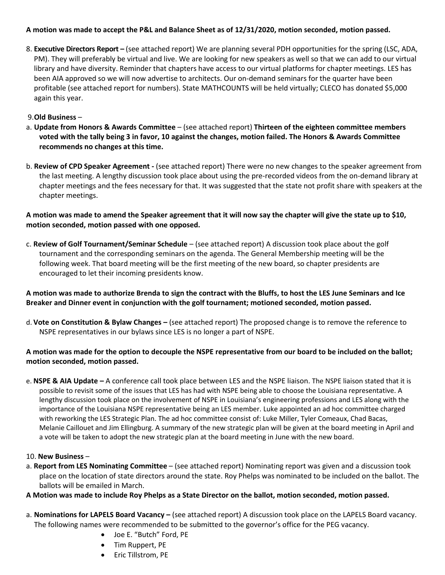## **A motion was made to accept the P&L and Balance Sheet as of 12/31/2020, motion seconded, motion passed.**

8. **Executive Directors Report –** (see attached report) We are planning several PDH opportunities for the spring (LSC, ADA, PM). They will preferably be virtual and live. We are looking for new speakers as well so that we can add to our virtual library and have diversity. Reminder that chapters have access to our virtual platforms for chapter meetings. LES has been AIA approved so we will now advertise to architects. Our on-demand seminars for the quarter have been profitable (see attached report for numbers). State MATHCOUNTS will be held virtually; CLECO has donated \$5,000 again this year.

## 9.**Old Business** –

- a. **Update from Honors & Awards Committee** (see attached report) **Thirteen of the eighteen committee members voted with the tally being 3 in favor, 10 against the changes, motion failed. The Honors & Awards Committee recommends no changes at this time.**
- b. **Review of CPD Speaker Agreement -** (see attached report) There were no new changes to the speaker agreement from the last meeting. A lengthy discussion took place about using the pre-recorded videos from the on-demand library at chapter meetings and the fees necessary for that. It was suggested that the state not profit share with speakers at the chapter meetings.

**A motion was made to amend the Speaker agreement that it will now say the chapter will give the state up to \$10, motion seconded, motion passed with one opposed.**

c. **Review of Golf Tournament/Seminar Schedule** – (see attached report) A discussion took place about the golf tournament and the corresponding seminars on the agenda. The General Membership meeting will be the following week. That board meeting will be the first meeting of the new board, so chapter presidents are encouraged to let their incoming presidents know.

## **A motion was made to authorize Brenda to sign the contract with the Bluffs, to host the LES June Seminars and Ice Breaker and Dinner event in conjunction with the golf tournament; motioned seconded, motion passed.**

d. **Vote on Constitution & Bylaw Changes –** (see attached report) The proposed change is to remove the reference to NSPE representatives in our bylaws since LES is no longer a part of NSPE.

## **A motion was made for the option to decouple the NSPE representative from our board to be included on the ballot; motion seconded, motion passed.**

e. **NSPE & AIA Update –** A conference call took place between LES and the NSPE liaison. The NSPE liaison stated that it is possible to revisit some of the issues that LES has had with NSPE being able to choose the Louisiana representative. A lengthy discussion took place on the involvement of NSPE in Louisiana's engineering professions and LES along with the importance of the Louisiana NSPE representative being an LES member. Luke appointed an ad hoc committee charged with reworking the LES Strategic Plan. The ad hoc committee consist of: Luke Miller, Tyler Comeaux, Chad Bacas, Melanie Caillouet and Jim Ellingburg. A summary of the new strategic plan will be given at the board meeting in April and a vote will be taken to adopt the new strategic plan at the board meeting in June with the new board.

### 10. **New Business** –

a. **Report from LES Nominating Committee** – (see attached report) Nominating report was given and a discussion took place on the location of state directors around the state. Roy Phelps was nominated to be included on the ballot. The ballots will be emailed in March.

## **A Motion was made to include Roy Phelps as a State Director on the ballot, motion seconded, motion passed.**

- a. **Nominations for LAPELS Board Vacancy –** (see attached report) A discussion took place on the LAPELS Board vacancy. The following names were recommended to be submitted to the governor's office for the PEG vacancy.
	- Joe E. "Butch" Ford, PE
	- Tim Ruppert, PE
	- Eric Tillstrom, PE